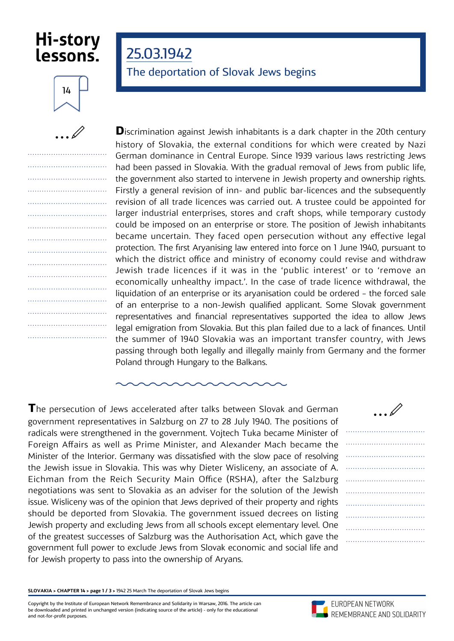## Hi-story lessons.

25.03.1942

The deportation of Slovak Jews begins



.................................. .................................. .................................. .................................. .................................. .................................. .................................. .................................. .................................. .................................. .................................. .................................. .................................. .................................. .................................. ..................................

| <b>D</b> iscrimination against Jewish inhabitants is a dark chapter in the 20th century |
|-----------------------------------------------------------------------------------------|
| history of Slovakia, the external conditions for which were created by Nazi             |
| German dominance in Central Europe. Since 1939 various laws restricting Jews            |
| had been passed in Slovakia. With the gradual removal of Jews from public life,         |
| the government also started to intervene in Jewish property and ownership rights.       |
| Firstly a general revision of inn- and public bar-licences and the subsequently         |
| revision of all trade licences was carried out. A trustee could be appointed for        |
| larger industrial enterprises, stores and craft shops, while temporary custody          |
| could be imposed on an enterprise or store. The position of Jewish inhabitants          |
| became uncertain. They faced open persecution without any effective legal               |
| protection. The first Aryanising law entered into force on 1 June 1940, pursuant to     |
| which the district office and ministry of economy could revise and withdraw             |
| Jewish trade licences if it was in the 'public interest' or to 'remove an               |
| economically unhealthy impact.'. In the case of trade licence withdrawal, the           |
| liquidation of an enterprise or its aryanisation could be ordered - the forced sale     |
| of an enterprise to a non-Jewish qualified applicant. Some Slovak government            |
| representatives and financial representatives supported the idea to allow Jews          |
| legal emigration from Slovakia. But this plan failed due to a lack of finances. Until   |
| the summer of 1940 Slovakia was an important transfer country, with Jews                |
| passing through both legally and illegally mainly from Germany and the former           |
| Poland through Hungary to the Balkans.                                                  |

**T**he persecution of Jews accelerated after talks between Slovak and German government representatives in Salzburg on 27 to 28 July 1940. The positions of radicals were strengthened in the government. Vojtech Tuka became Minister of Foreign Affairs as well as Prime Minister, and Alexander Mach became the Minister of the Interior. Germany was dissatisfied with the slow pace of resolving the Jewish issue in Slovakia. This was why Dieter Wisliceny, an associate of A. Eichman from the Reich Security Main Office (RSHA), after the Salzburg negotiations was sent to Slovakia as an adviser for the solution of the Jewish issue. Wisliceny was of the opinion that Jews deprived of their property and rights should be deported from Slovakia. The government issued decrees on listing Jewish property and excluding Jews from all schools except elementary level. One of the greatest successes of Salzburg was the Authorisation Act, which gave the government full power to exclude Jews from Slovak economic and social life and for Jewish property to pass into the ownership of Aryans.



**SLOVAKIA > CHAPTER 14 > page 1 / 3 >** 1942 25 March The deportation of Slovak Jews begins

Copyright by the Institute of European Network Remembrance and Solidarity in Warsaw, 2016. The article can be downloaded and printed in unchanged version (indicating source of the article) - only for the educational and not-for-profit purposes.

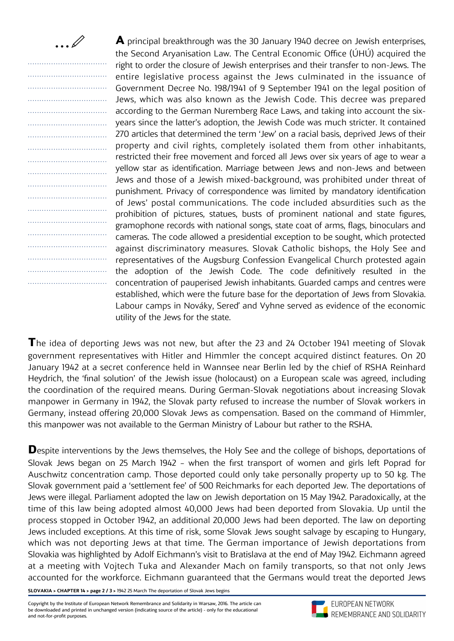$\ldots \emptyset$ 

|  |  |  |  |  |  |  |  |  |  |  |  |  |  |  |           |           |     | ľ |  |
|--|--|--|--|--|--|--|--|--|--|--|--|--|--|--|-----------|-----------|-----|---|--|
|  |  |  |  |  |  |  |  |  |  |  |  |  |  |  |           |           |     | 6 |  |
|  |  |  |  |  |  |  |  |  |  |  |  |  |  |  | $\ddotsc$ |           |     | ( |  |
|  |  |  |  |  |  |  |  |  |  |  |  |  |  |  |           | Ϋ,        |     |   |  |
|  |  |  |  |  |  |  |  |  |  |  |  |  |  |  |           |           |     | ć |  |
|  |  |  |  |  |  |  |  |  |  |  |  |  |  |  |           |           |     | ì |  |
|  |  |  |  |  |  |  |  |  |  |  |  |  |  |  |           |           |     | ź |  |
|  |  |  |  |  |  |  |  |  |  |  |  |  |  |  |           |           |     | ł |  |
|  |  |  |  |  |  |  |  |  |  |  |  |  |  |  |           | . .       |     | ľ |  |
|  |  |  |  |  |  |  |  |  |  |  |  |  |  |  |           |           |     | j |  |
|  |  |  |  |  |  |  |  |  |  |  |  |  |  |  |           |           |     |   |  |
|  |  |  |  |  |  |  |  |  |  |  |  |  |  |  |           |           |     | ľ |  |
|  |  |  |  |  |  |  |  |  |  |  |  |  |  |  |           |           |     | ( |  |
|  |  |  |  |  |  |  |  |  |  |  |  |  |  |  |           | .         |     | I |  |
|  |  |  |  |  |  |  |  |  |  |  |  |  |  |  |           | $\ddotsc$ |     | ٤ |  |
|  |  |  |  |  |  |  |  |  |  |  |  |  |  |  |           |           | . . | Ó |  |
|  |  |  |  |  |  |  |  |  |  |  |  |  |  |  |           |           |     | ć |  |
|  |  |  |  |  |  |  |  |  |  |  |  |  |  |  |           |           |     | ľ |  |
|  |  |  |  |  |  |  |  |  |  |  |  |  |  |  |           |           |     | t |  |
|  |  |  |  |  |  |  |  |  |  |  |  |  |  |  |           |           |     | Ó |  |
|  |  |  |  |  |  |  |  |  |  |  |  |  |  |  |           |           |     | 6 |  |
|  |  |  |  |  |  |  |  |  |  |  |  |  |  |  |           |           |     | ı |  |
|  |  |  |  |  |  |  |  |  |  |  |  |  |  |  |           |           |     |   |  |

**A** principal breakthrough was the 30 January 1940 decree on Jewish enterprises, the Second Arvanisation Law. The Central Economic Office (ÚHÚ) acquired the right to order the closure of Jewish enterprises and their transfer to non-Jews. The entire legislative process against the Jews culminated in the issuance of Government Decree No. 198/1941 of 9 September 1941 on the legal position of Jews, which was also known as the Jewish Code. This decree was prepared according to the German Nuremberg Race Laws, and taking into account the sixyears since the latter's adoption, the Jewish Code was much stricter. It contained 270 articles that determined the term 'Jew' on a racial basis, deprived Jews of their property and civil rights, completely isolated them from other inhabitants, restricted their free movement and forced all Jews over six years of age to wear a yellow star as identification. Marriage between Jews and non-Jews and between Jews and those of a Jewish mixed-background, was prohibited under threat of punishment. Privacy of correspondence was limited by mandatory identification of Jews' postal communications. The code included absurdities such as the prohibition of pictures, statues, busts of prominent national and state figures, gramophone records with national songs, state coat of arms, flags, binoculars and cameras. The code allowed a presidential exception to be sought, which protected against discriminatory measures. Slovak Catholic bishops, the Holy See and representatives of the Augsburg Confession Evangelical Church protested again the adoption of the Jewish Code. The code definitively resulted in the concentration of pauperised Jewish inhabitants. Guarded camps and centres were established, which were the future base for the deportation of Jews from Slovakia. Labour camps in Nováky, Sereď and Vyhne served as evidence of the economic utility of the Jews for the state.

**T**he idea of deporting Jews was not new, but after the 23 and 24 October 1941 meeting of Slovak government representatives with Hitler and Himmler the concept acquired distinct features. On 20 January 1942 at a secret conference held in Wannsee near Berlin led by the chief of RSHA Reinhard Heydrich, the 'final solution' of the Jewish issue (holocaust) on a European scale was agreed, including the coordination of the required means. During German-Slovak negotiations about increasing Slovak manpower in Germany in 1942, the Slovak party refused to increase the number of Slovak workers in Germany, instead offering 20,000 Slovak Jews as compensation. Based on the command of Himmler, this manpower was not available to the German Ministry of Labour but rather to the RSHA.

**D**espite interventions by the Jews themselves, the Holy See and the college of bishops, deportations of Slovak Jews began on 25 March 1942 – when the first transport of women and girls left Poprad for Auschwitz concentration camp. Those deported could only take personally property up to 50 kg. The Slovak government paid a 'settlement fee' of 500 Reichmarks for each deported Jew. The deportations of Jews were illegal. Parliament adopted the law on Jewish deportation on 15 May 1942. Paradoxically, at the time of this law being adopted almost 40,000 Jews had been deported from Slovakia. Up until the process stopped in October 1942, an additional 20,000 Jews had been deported. The law on deporting Jews included exceptions. At this time of risk, some Slovak Jews sought salvage by escaping to Hungary, which was not deporting Jews at that time. The German importance of Jewish deportations from Slovakia was highlighted by Adolf Eichmann's visit to Bratislava at the end of May 1942. Eichmann agreed at a meeting with Vojtech Tuka and Alexander Mach on family transports, so that not only Jews accounted for the workforce. Eichmann guaranteed that the Germans would treat the deported Jews

**SLOVAKIA > CHAPTER 14 > page 2 / 3 >** 1942 25 March The deportation of Slovak Jews begins